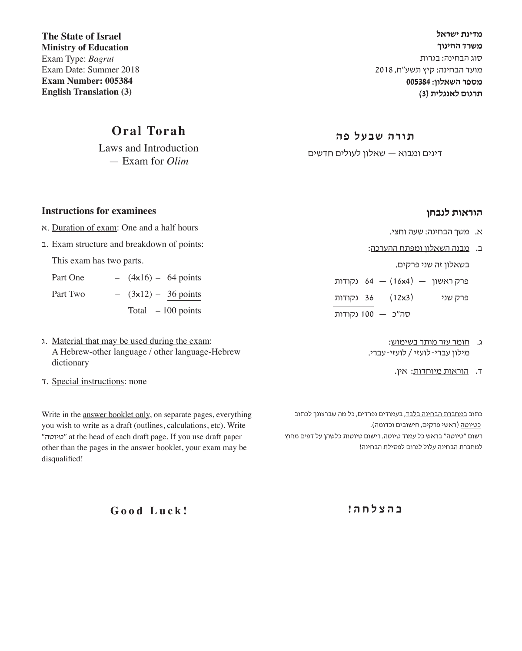**מדינת ישראל משרד החינוך** סוג הבחינה: בגרות מועד הבחינה: קיץ תשע"ח, 2018 **מספר השאלון: 005384 תרגום לאנגלית )3(**

**Ministry of Education** Exam Type: *Bagrut* Exam Date: Summer 2018 **Exam Number: 005384 English Translation (3)**

**The State of Israel** 

## **Oral Torah**

Laws and Introduction — Exam for *Olim*

### **תורה שבעל פה**

דינים ומבוא — שאלון לעולים חדשים

### **הוראות לנבחן**

- א. משך הבחינה: שעה וחצי.
- ב. מבנה השאלון ומפתח ההערכה:

בשאלון זה שני פרקים.

פרק ראשון — )4**x**16 — )64 נקודות פרק שני — )3**x**12 — )36 נקודות סה"כ — 100 נקודות

- ג. חומר עזר מותר בשימוש: מילון עברי-לועזי / לועזי-עברי.
	- ד. הוראות מיוחדות: אין.

כתוב <u>במחברת הבחינה בלבד,</u> בעמודים נפרדים, כל מה שברצונך לכתוב כטיוטה )ראשי פרקים, חישובים וכדומה(. רשום "טיוטה" בראש כל עמוד טיוטה. רישום טיוטות כלשהן על דפים מחוץ למחברת הבחינה עלול לגרום לפסילת הבחינה!

Write in the answer booklet only, on separate pages, everything

you wish to write as a draft (outlines, calculations, etc). Write "טיוטה "at the head of each draft page. If you use draft paper other than the pages in the answer booklet, your exam may be disqualified!

**ב ה צ ל ח ה !**

**Good Luck!**

### **Instructions for examinees**

- א. Duration of exam: One and a half hours
- ב. Exam structure and breakdown of points:

This exam has two parts.

| Part One | $-$ |                        | $(4x16) - 64$ points |
|----------|-----|------------------------|----------------------|
| Part Two |     | $-$ (3x12) – 36 points |                      |
|          |     |                        | Total $-100$ points  |

- ג. Material that may be used during the exam: A Hebrew-other language / other language-Hebrew dictionary
- ד. Special instructions: none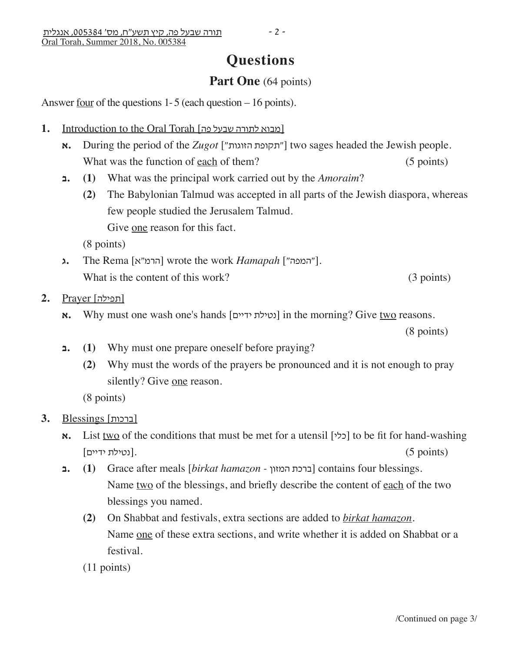# **Questions**

## **Part One** (64 points)

Answer four of the questions 1- 5 (each question – 16 points).

- 1. Introduction to the Oral Torah [פובוא לתורה שבעל פה]
	- **א.** During the period of the *Zugot* ["תקופת הזוגות"] two sages headed the Jewish people. What was the function of each of them? (5 points)
	- **ב.) 1 (**What was the principal work carried out by the *Amoraim*?
		- **(2)** The Babylonian Talmud was accepted in all parts of the Jewish diaspora, whereas few people studied the Jerusalem Talmud.

Give one reason for this fact.

(8 points)

**ג.** The Rema [הרמ"א] wrote the work *Hamapah* ["המפה"]. What is the content of this work? (3 points)

[תפילה] Prayer **2.**

**א.** Why must one wash one's hands [נטילת ודיים] in the morning? Give two reasons.

(8 points)

- **1.** (1) Why must one prepare oneself before praying?
	- **(2)** Why must the words of the prayers be pronounced and it is not enough to pray silently? Give one reason.

(8 points)

- [ברכות] Blessings **3.**
	- **א.** List two of the conditions that must be met for a utensil [כלי] to be fit for hand-washing (נטילת ידיים). (5  $\sim$  (.5 (.5  $\sim$ ).
	- **ב.) 1 (**Grace after meals [*birkat hamazon* המזון ברכת [contains four blessings. Name two of the blessings, and briefly describe the content of each of the two blessings you named.
		- **(2)** On Shabbat and festivals, extra sections are added to *birkat hamazon*. Name one of these extra sections, and write whether it is added on Shabbat or a festival.
		- (11 points)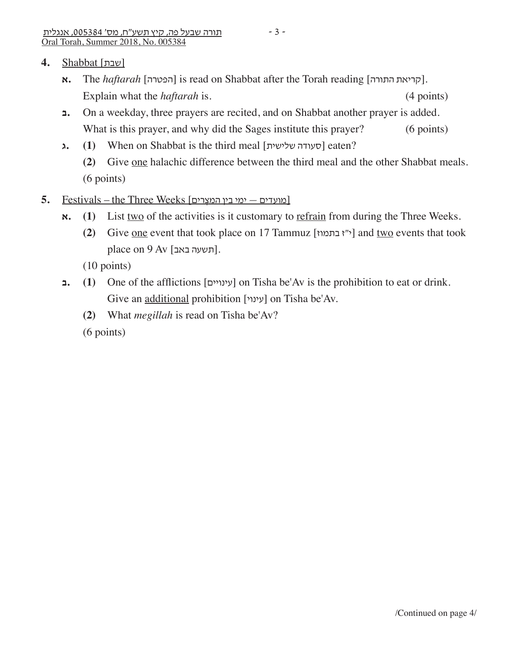- **א.** The *haftarah* [הפטרה] is read on Shabbat after the Torah reading [קריאת התורה]. Explain what the *haftarah* is. (4 points)
- **ב.** On a weekday, three prayers are recited, and on Shabbat another prayer is added. What is this prayer, and why did the Sages institute this prayer? (6 points)
- **ג** (1) When on Shabbat is the third meal [סעודה שלישית] eaten?
	- **(2)** Give one halachic difference between the third meal and the other Shabbat meals. (6 points)
- [מועדים ימי בין המצָ רים] Weeks Three the Festivals **5.**
	- $\mathbf{x}$ **.** (1) List two of the activities is it customary to <u>refrain</u> from during the Three Weeks.
		- **(2)** Give <u>one</u> event that took place on 17 Tammuz [ $\gamma$ ז בתמוז  $\gamma$ ] and two events that took place on  $9$  Av [תשעה באב].

(10 points)

- **1.** (1) One of the afflictions [עינויים] on Tisha be'Av is the prohibition to eat or drink. Give an additional prohibition [עינוי] on Tisha be'Av.
	- **(2)** What *megillah* is read on Tisha be'Av?

(6 points)